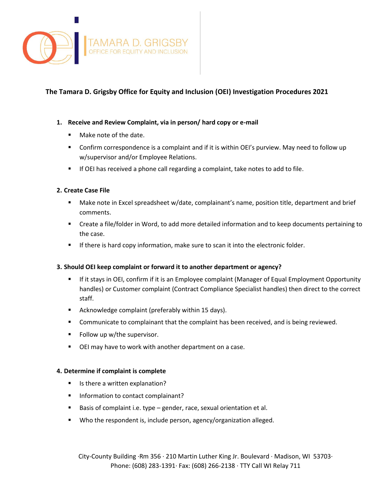

# **The Tamara D. Grigsby Office for Equity and Inclusion (OEI) Investigation Procedures 2021**

#### **1. Receive and Review Complaint, via in person/ hard copy or e-mail**

- Make note of the date.
- Confirm correspondence is a complaint and if it is within OEI's purview. May need to follow up w/supervisor and/or Employee Relations.
- If OEI has received a phone call regarding a complaint, take notes to add to file.

## **2. Create Case File**

- Make note in Excel spreadsheet w/date, complainant's name, position title, department and brief comments.
- Create a file/folder in Word, to add more detailed information and to keep documents pertaining to the case.
- If there is hard copy information, make sure to scan it into the electronic folder.

#### **3. Should OEI keep complaint or forward it to another department or agency?**

- If it stays in OEI, confirm if it is an Employee complaint (Manager of Equal Employment Opportunity handles) or Customer complaint (Contract Compliance Specialist handles) then direct to the correct staff.
- Acknowledge complaint (preferably within 15 days).
- Communicate to complainant that the complaint has been received, and is being reviewed.
- Follow up w/the supervisor.
- OEI may have to work with another department on a case.

#### **4. Determine if complaint is complete**

- Is there a written explanation?
- **Information to contact complainant?**
- Basis of complaint i.e. type gender, race, sexual orientation et al.
- Who the respondent is, include person, agency/organization alleged.

City-County Building ·Rm 356 · 210 Martin Luther King Jr. Boulevard · Madison, WI 53703· Phone: (608) 283-1391· Fax: (608) 266-2138 · TTY Call WI Relay 711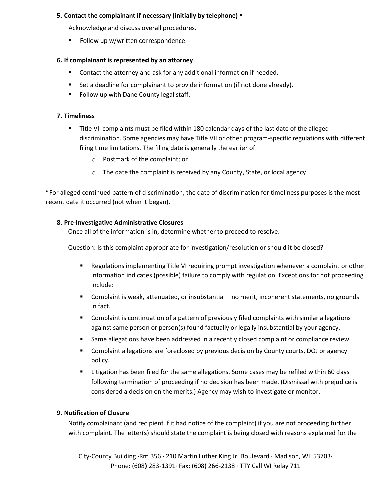## **5. Contact the complainant if necessary (initially by telephone)**

Acknowledge and discuss overall procedures.

Follow up w/written correspondence.

## **6. If complainant is represented by an attorney**

- Contact the attorney and ask for any additional information if needed.
- Set a deadline for complainant to provide information (if not done already).
- **Follow up with Dane County legal staff.**

## **7. Timeliness**

- Title VII complaints must be filed within 180 calendar days of the last date of the alleged discrimination. Some agencies may have Title VII or other program-specific regulations with different filing time limitations. The filing date is generally the earlier of:
	- o Postmark of the complaint; or
	- o The date the complaint is received by any County, State, or local agency

\*For alleged continued pattern of discrimination, the date of discrimination for timeliness purposes is the most recent date it occurred (not when it began).

## **8. Pre-Investigative Administrative Closures**

Once all of the information is in, determine whether to proceed to resolve.

Question: Is this complaint appropriate for investigation/resolution or should it be closed?

- **EXECT** Regulations implementing Title VI requiring prompt investigation whenever a complaint or other information indicates (possible) failure to comply with regulation. Exceptions for not proceeding include:
- Complaint is weak, attenuated, or insubstantial no merit, incoherent statements, no grounds in fact.
- Complaint is continuation of a pattern of previously filed complaints with similar allegations against same person or person(s) found factually or legally insubstantial by your agency.
- Same allegations have been addressed in a recently closed complaint or compliance review.
- Complaint allegations are foreclosed by previous decision by County courts, DOJ or agency policy.
- **EXECT 1** Litigation has been filed for the same allegations. Some cases may be refiled within 60 days following termination of proceeding if no decision has been made. (Dismissal with prejudice is considered a decision on the merits.) Agency may wish to investigate or monitor.

# **9. Notification of Closure**

Notify complainant (and recipient if it had notice of the complaint) if you are not proceeding further with complaint. The letter(s) should state the complaint is being closed with reasons explained for the

City-County Building ·Rm 356 · 210 Martin Luther King Jr. Boulevard · Madison, WI 53703· Phone: (608) 283-1391· Fax: (608) 266-2138 · TTY Call WI Relay 711